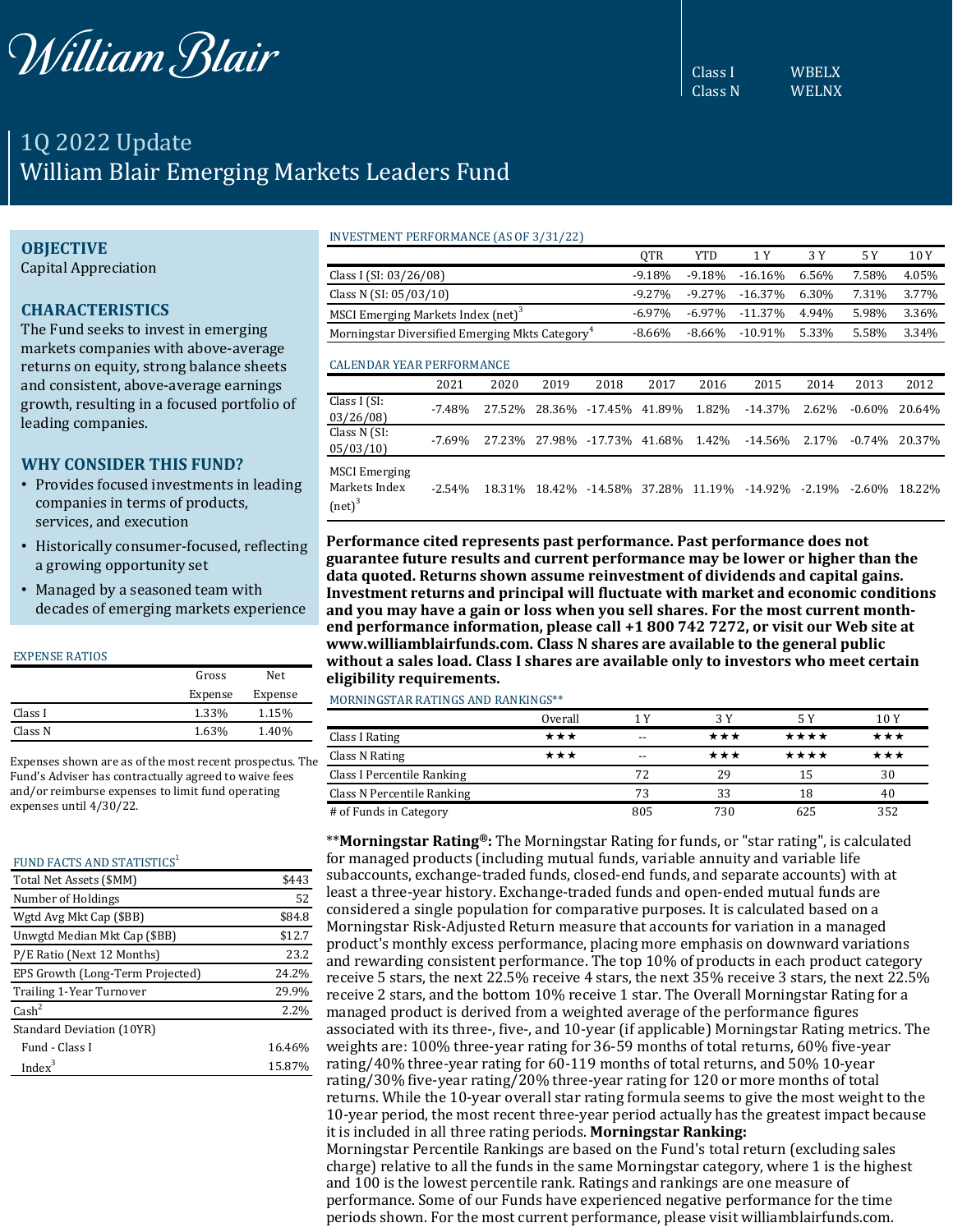

Class I WBELX Class N WELNX

# 1Q 2022 Update William Blair Emerging Markets Leaders Fund

## **OBJECTIVE**

Capital Appreciation

## **CHARACTERISTICS**

The Fund seeks to invest in emerging markets companies with above-average returns on equity, strong balance sheets and consistent, above-average earnings growth, resulting in a focused portfolio of leading companies.

## **WHY CONSIDER THIS FUND?**

- Provides focused investments in leading companies in terms of products, services, and execution
- Historically consumer-focused, reflecting a growing opportunity set
- Managed by a seasoned team with decades of emerging markets experience

#### EXPENSE RATIOS

| Gross   | Net.    |
|---------|---------|
| Expense | Expense |
| 1.33%   | 1.15%   |
| 1.63%   | 1.40%   |
|         |         |

Expenses shown are as of the most recent prospectus. The Fund's Adviser has contractually agreed to waive fees and/or reimburse expenses to limit fund operating expenses until 4/30/22.

#### FUND FACTS AND STATISTICS<sup>1</sup>

| Total Net Assets (\$MM)          | \$443  |
|----------------------------------|--------|
| Number of Holdings               | 52     |
| Wgtd Avg Mkt Cap (\$BB)          | \$84.8 |
| Unwgtd Median Mkt Cap (\$BB)     | \$12.7 |
| P/E Ratio (Next 12 Months)       | 23.2   |
| EPS Growth (Long-Term Projected) | 24.2%  |
| Trailing 1-Year Turnover         | 29.9%  |
| $\text{Cash}^2$                  | 2.2%   |
| Standard Deviation (10YR)        |        |
| Fund - Class I                   | 16.46% |
| Index <sup>3</sup>               | 15.87% |

#### INVESTMENT PERFORMANCE (AS OF 3/31/22)

|                                                             |          |        |        |           | QTR       | <b>YTD</b> | 1 Y        | 3 Y   | 5 Y       | 10 Y   |
|-------------------------------------------------------------|----------|--------|--------|-----------|-----------|------------|------------|-------|-----------|--------|
| Class I (SI: 03/26/08)                                      |          |        |        |           | $-9.18%$  | $-9.18%$   | $-16.16%$  | 6.56% | 7.58%     | 4.05%  |
| Class N $(SI: 05/03/10)$                                    |          |        |        |           | $-9.27%$  | $-9.27%$   | $-16.37\%$ | 6.30% | 7.31%     | 3.77%  |
| MSCI Emerging Markets Index (net) <sup>3</sup>              |          |        |        |           | $-6.97\%$ | $-6.97\%$  | $-11.37\%$ | 4.94% | 5.98%     | 3.36%  |
| Morningstar Diversified Emerging Mkts Category <sup>4</sup> |          |        |        |           | $-8.66%$  | $-8.66%$   | $-10.91%$  | 5.33% | 5.58%     | 3.34%  |
| <b>CALENDAR YEAR PERFORMANCE</b>                            |          |        |        |           |           |            |            |       |           |        |
|                                                             | 2021     | 2020   | 2019   | 2018      | 2017      | 2016       | 2015       | 2014  | 2013      | 2012   |
| Class I (SI:<br>02/26/00)                                   | $-7.48%$ | 27.52% | 28.36% | $-17.45%$ | 41.89%    | 1.82%      | $-14.37%$  | 2.62% | $-0.60\%$ | 20.64% |

| Giass I (d. )<br>03/26/08                   |           |  |  | -7.48% 27.52% 28.36% -17.45% 41.89% 1.82% -14.37% 2.62%          |  | -0.60% 20.64%    |
|---------------------------------------------|-----------|--|--|------------------------------------------------------------------|--|------------------|
| Class N (SI:<br>05/03/10                    | $-7.69\%$ |  |  | 27.23% 27.98% -17.73% 41.68% 1.42% -14.56% 2.17%                 |  | $-0.74\%$ 20.37% |
| MSCI Emerging<br>Markets Index<br>$(net)^3$ | $-2.54\%$ |  |  | 18.31% 18.42% -14.58% 37.28% 11.19% -14.92% -2.19% -2.60% 18.22% |  |                  |

**Performance cited represents past performance. Past performance does not guarantee future results and current performance may be lower or higher than the data quoted. Returns shown assume reinvestment of dividends and capital gains. Investment returns and principal will fluctuate with market and economic conditions and you may have a gain or loss when you sell shares. For the most current monthend performance information, please call +1 800 742 7272, or visit our Web site at www.williamblairfunds.com. Class N shares are available to the general public without a sales load. Class I shares are available only to investors who meet certain eligibility requirements.**

MORNINGSTAR RATINGS AND RANKINGS\*\*

|                            | Overall | ίV    | 3 Y | 5 Y  | 10 Y |
|----------------------------|---------|-------|-----|------|------|
| Class I Rating             | ***     | $- -$ | *** | **** | ★★★  |
| Class N Rating             | ***     | $- -$ | ★★★ | **** | ★★★  |
| Class I Percentile Ranking |         | 72    | 29  | 15   | 30   |
| Class N Percentile Ranking |         | 73    | 33  | 18   | 40   |
| # of Funds in Category     |         | 805   | 730 | 625  | 352  |

\*\***Morningstar Rating®:** The Morningstar Rating for funds, or "star rating", is calculated for managed products (including mutual funds, variable annuity and variable life subaccounts, exchange-traded funds, closed-end funds, and separate accounts) with at least a three-year history. Exchange-traded funds and open-ended mutual funds are considered a single population for comparative purposes. It is calculated based on a Morningstar Risk-Adjusted Return measure that accounts for variation in a managed product's monthly excess performance, placing more emphasis on downward variations and rewarding consistent performance. The top 10% of products in each product category receive 5 stars, the next 22.5% receive 4 stars, the next 35% receive 3 stars, the next 22.5% receive 2 stars, and the bottom 10% receive 1 star. The Overall Morningstar Rating for a managed product is derived from a weighted average of the performance figures associated with its three-, five-, and 10-year (if applicable) Morningstar Rating metrics. The weights are: 100% three-year rating for 36-59 months of total returns, 60% five-year rating/40% three-year rating for 60-119 months of total returns, and 50% 10-year rating/30% five-year rating/20% three-year rating for 120 or more months of total returns. While the 10-year overall star rating formula seems to give the most weight to the 10-year period, the most recent three-year period actually has the greatest impact because it is included in all three rating periods. **Morningstar Ranking:** Morningstar Percentile Rankings are based on the Fund's total return (excluding sales charge) relative to all the funds in the same Morningstar category, where 1 is the highest and 100 is the lowest percentile rank. Ratings and rankings are one measure of performance. Some of our Funds have experienced negative performance for the time periods shown. For the most current performance, please visit williamblairfunds.com.